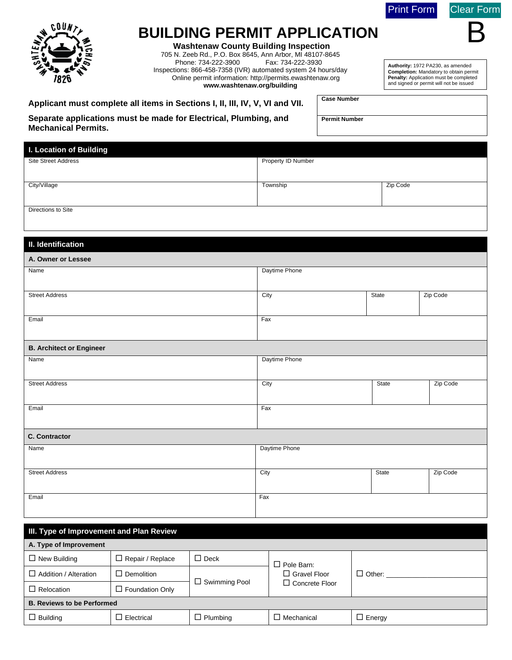|                                 |                                                                                                                                                                                                     |                    |                      | <b>Print Form</b> | <b>Clear Form</b>                                                                                                                                                |  |
|---------------------------------|-----------------------------------------------------------------------------------------------------------------------------------------------------------------------------------------------------|--------------------|----------------------|-------------------|------------------------------------------------------------------------------------------------------------------------------------------------------------------|--|
| $\mathcal{CD}$ UN $\mathcal{Y}$ | <b>BUILDING PERMIT APPLICATION</b><br><b>Washtenaw County Building Inspection</b><br>705 N. Zeeb Rd., P.O. Box 8645, Ann Arbor, MI 48107-8645                                                       |                    |                      |                   |                                                                                                                                                                  |  |
|                                 | Phone: 734-222-3900<br>Fax: 734-222-3930<br>Inspections: 866-458-7358 (IVR) automated system 24 hours/day<br>Online permit information: http://permits.ewashtenaw.org<br>www.washtenaw.org/building |                    |                      |                   | Authority: 1972 PA230, as amended<br>Completion: Mandatory to obtain permit<br>Penalty: Application must be completed<br>and signed or permit will not be issued |  |
|                                 | Applicant must complete all items in Sections I, II, III, IV, V, VI and VII.                                                                                                                        |                    | <b>Case Number</b>   |                   |                                                                                                                                                                  |  |
| <b>Mechanical Permits.</b>      | Separate applications must be made for Electrical, Plumbing, and                                                                                                                                    |                    | <b>Permit Number</b> |                   |                                                                                                                                                                  |  |
| <b>I. Location of Building</b>  |                                                                                                                                                                                                     |                    |                      |                   |                                                                                                                                                                  |  |
| <b>Site Street Address</b>      |                                                                                                                                                                                                     | Property ID Number |                      |                   |                                                                                                                                                                  |  |
| City/Village                    |                                                                                                                                                                                                     | Township           |                      | Zip Code          |                                                                                                                                                                  |  |
| Directions to Site              |                                                                                                                                                                                                     |                    |                      |                   |                                                                                                                                                                  |  |
| II. Identification              |                                                                                                                                                                                                     |                    |                      |                   |                                                                                                                                                                  |  |
| A. Owner or Lessee              |                                                                                                                                                                                                     |                    |                      |                   |                                                                                                                                                                  |  |
| Name                            |                                                                                                                                                                                                     | Daytime Phone      |                      |                   |                                                                                                                                                                  |  |
| <b>Street Address</b>           |                                                                                                                                                                                                     | City               |                      | <b>State</b>      | Zip Code                                                                                                                                                         |  |
| Email                           |                                                                                                                                                                                                     | Fax                |                      |                   |                                                                                                                                                                  |  |
| <b>B. Architect or Engineer</b> |                                                                                                                                                                                                     |                    |                      |                   |                                                                                                                                                                  |  |
| Name                            |                                                                                                                                                                                                     | Daytime Phone      |                      |                   |                                                                                                                                                                  |  |
| <b>Street Address</b>           |                                                                                                                                                                                                     | City               |                      | State             | Zip Code                                                                                                                                                         |  |
| Email                           |                                                                                                                                                                                                     | Fax                |                      |                   |                                                                                                                                                                  |  |
| C. Contractor                   |                                                                                                                                                                                                     |                    |                      |                   |                                                                                                                                                                  |  |
| Name                            |                                                                                                                                                                                                     | Daytime Phone      |                      |                   |                                                                                                                                                                  |  |
| <b>Street Address</b>           |                                                                                                                                                                                                     | City               |                      | <b>State</b>      | Zip Code                                                                                                                                                         |  |
| Email                           |                                                                                                                                                                                                     | Fax                |                      |                   |                                                                                                                                                                  |  |
|                                 |                                                                                                                                                                                                     |                    |                      |                   |                                                                                                                                                                  |  |

| <b>III. Type of Improvement and Plan Review</b> |                         |                      |                      |               |  |  |
|-------------------------------------------------|-------------------------|----------------------|----------------------|---------------|--|--|
| A. Type of Improvement                          |                         |                      |                      |               |  |  |
| $\Box$ New Building                             | $\Box$ Repair / Replace | $\Box$ Deck          | $\square$ Pole Barn: | $\Box$ Other: |  |  |
| $\Box$ Addition / Alteration                    | $\Box$ Demolition       |                      | $\Box$ Gravel Floor  |               |  |  |
| $\Box$ Relocation                               | $\Box$ Foundation Only  | $\Box$ Swimming Pool | □ Concrete Floor     |               |  |  |
| <b>B. Reviews to be Performed</b>               |                         |                      |                      |               |  |  |
| $\Box$ Building                                 | $\Box$ Electrical       | $\Box$ Plumbing      | $\Box$ Mechanical    | $\Box$ Energy |  |  |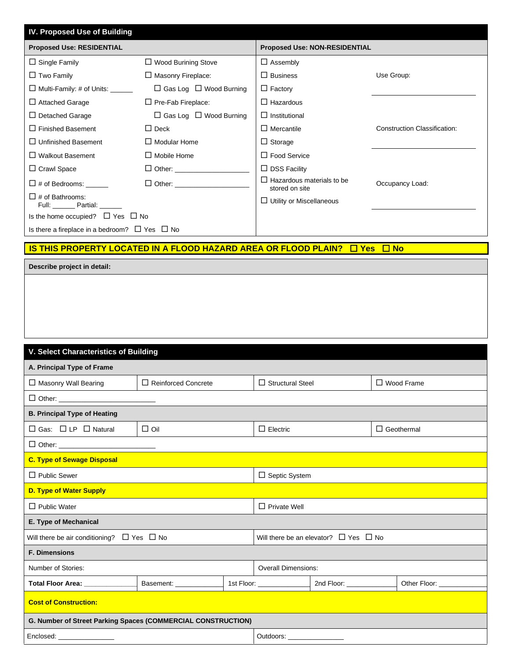| IV. Proposed Use of Building                            |                                    |                                                    |                                     |  |
|---------------------------------------------------------|------------------------------------|----------------------------------------------------|-------------------------------------|--|
| <b>Proposed Use: RESIDENTIAL</b>                        |                                    | <b>Proposed Use: NON-RESIDENTIAL</b>               |                                     |  |
| $\Box$ Single Family                                    | $\Box$ Wood Burining Stove         | $\Box$ Assembly                                    |                                     |  |
| $\Box$ Two Family                                       | $\Box$ Masonry Fireplace:          | $\Box$ Business                                    | Use Group:                          |  |
| $\Box$ Multi-Family: # of Units: ______                 | $\Box$ Gas Log $\Box$ Wood Burning | $\Box$ Factory                                     |                                     |  |
| $\Box$ Attached Garage                                  | $\Box$ Pre-Fab Fireplace:          | $\Box$ Hazardous                                   |                                     |  |
| $\Box$ Detached Garage                                  | $\Box$ Gas Log $\Box$ Wood Burning | $\Box$ Institutional                               |                                     |  |
| $\Box$ Finished Basement                                | $\Box$ Deck                        | $\Box$ Mercantile                                  | <b>Construction Classification:</b> |  |
| $\Box$ Unfinished Basement                              | $\Box$ Modular Home                | $\Box$ Storage                                     |                                     |  |
| $\Box$ Walkout Basement                                 | $\Box$ Mobile Home                 | $\Box$ Food Service                                |                                     |  |
| $\Box$ Crawl Space                                      | □ Other: ___________               | $\Box$ DSS Facility                                |                                     |  |
| $\Box$ # of Bedrooms: ______                            | $\Box$ Other:                      | $\Box$ Hazardous materials to be<br>stored on site | Occupancy Load:                     |  |
| $\Box$ # of Bathrooms:<br>Full: Partial: Partial:       |                                    | $\Box$ Utility or Miscellaneous                    |                                     |  |
| Is the home occupied? $\Box$ Yes $\Box$ No              |                                    |                                                    |                                     |  |
| Is there a fireplace in a bedroom? $\Box$ Yes $\Box$ No |                                    |                                                    |                                     |  |

## **IS THIS PROPERTY LOCATED IN A FLOOD HAZARD AREA OR FLOOD PLAIN? □ Yes □ No**

| Describe project in detail: |  |  |
|-----------------------------|--|--|
|                             |  |  |
|                             |  |  |
|                             |  |  |

| V. Select Characteristics of Building                               |                          |                         |                                                 |  |                   |                         |  |
|---------------------------------------------------------------------|--------------------------|-------------------------|-------------------------------------------------|--|-------------------|-------------------------|--|
| A. Principal Type of Frame                                          |                          |                         |                                                 |  |                   |                         |  |
| $\Box$ Reinforced Concrete<br>$\Box$ Masonry Wall Bearing           |                          | $\Box$ Structural Steel |                                                 |  | $\Box$ Wood Frame |                         |  |
|                                                                     |                          |                         |                                                 |  |                   |                         |  |
| <b>B. Principal Type of Heating</b>                                 |                          |                         |                                                 |  |                   |                         |  |
| $\Box$ Gas: $\Box$ LP $\Box$ Natural                                | $\Box$ Oil               |                         | $\Box$ Electric                                 |  |                   | $\Box$ Geothermal       |  |
|                                                                     |                          |                         |                                                 |  |                   |                         |  |
| <b>C. Type of Sewage Disposal</b>                                   |                          |                         |                                                 |  |                   |                         |  |
| $\Box$ Public Sewer                                                 |                          |                         | $\Box$ Septic System                            |  |                   |                         |  |
| <b>D. Type of Water Supply</b>                                      |                          |                         |                                                 |  |                   |                         |  |
| $\Box$ Public Water                                                 |                          |                         | $\Box$ Private Well                             |  |                   |                         |  |
| E. Type of Mechanical                                               |                          |                         |                                                 |  |                   |                         |  |
| Will there be air conditioning? $\Box$ Yes $\Box$ No                |                          |                         | Will there be an elevator? $\Box$ Yes $\Box$ No |  |                   |                         |  |
| <b>F. Dimensions</b>                                                |                          |                         |                                                 |  |                   |                         |  |
| Number of Stories:                                                  |                          |                         | <b>Overall Dimensions:</b>                      |  |                   |                         |  |
| Total Floor Area: _____________                                     | Basement: ______________ |                         | 1st Floor: _________________                    |  |                   | Other Floor: __________ |  |
| <b>Cost of Construction:</b>                                        |                          |                         |                                                 |  |                   |                         |  |
| <b>G. Number of Street Parking Spaces (COMMERCIAL CONSTRUCTION)</b> |                          |                         |                                                 |  |                   |                         |  |
| Enclosed: _________________                                         |                          |                         | Outdoors: _________________                     |  |                   |                         |  |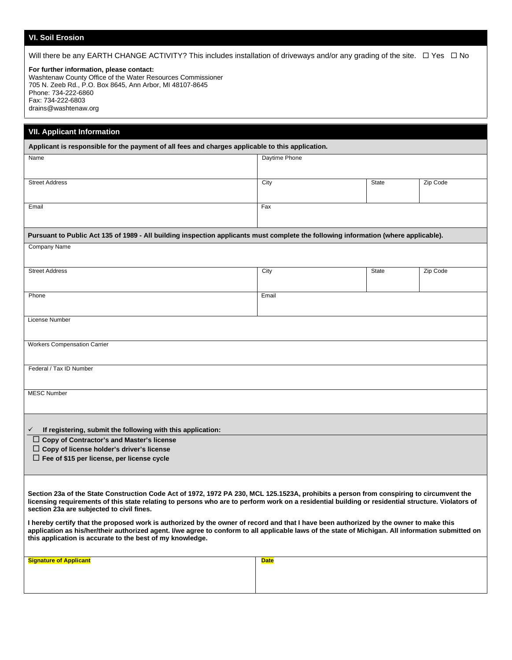## **VI. Soil Erosion**

Will there be any EARTH CHANGE ACTIVITY? This includes installation of driveways and/or any grading of the site.  $\Box$  Yes  $\Box$  No

**For further information, please contact:** 

Washtenaw County Office of the Water Resources Commissioner 705 N. Zeeb Rd., P.O. Box 8645, Ann Arbor, MI 48107-8645 Phone: 734-222-6860 Fax: 734-222-6803 drains@washtenaw.org

| <b>VII. Applicant Information</b>                                                                                                                                                                                                                                                                                                                         |               |              |          |  |
|-----------------------------------------------------------------------------------------------------------------------------------------------------------------------------------------------------------------------------------------------------------------------------------------------------------------------------------------------------------|---------------|--------------|----------|--|
| Applicant is responsible for the payment of all fees and charges applicable to this application.                                                                                                                                                                                                                                                          |               |              |          |  |
| Name                                                                                                                                                                                                                                                                                                                                                      | Daytime Phone |              |          |  |
|                                                                                                                                                                                                                                                                                                                                                           |               |              |          |  |
| <b>Street Address</b>                                                                                                                                                                                                                                                                                                                                     | City          | <b>State</b> | Zip Code |  |
| Email                                                                                                                                                                                                                                                                                                                                                     | Fax           |              |          |  |
|                                                                                                                                                                                                                                                                                                                                                           |               |              |          |  |
|                                                                                                                                                                                                                                                                                                                                                           |               |              |          |  |
| Pursuant to Public Act 135 of 1989 - All building inspection applicants must complete the following information (where applicable).<br>Company Name                                                                                                                                                                                                       |               |              |          |  |
|                                                                                                                                                                                                                                                                                                                                                           |               |              |          |  |
| <b>Street Address</b>                                                                                                                                                                                                                                                                                                                                     | City          | <b>State</b> | Zip Code |  |
|                                                                                                                                                                                                                                                                                                                                                           |               |              |          |  |
| Phone                                                                                                                                                                                                                                                                                                                                                     | Email         |              |          |  |
|                                                                                                                                                                                                                                                                                                                                                           |               |              |          |  |
| License Number                                                                                                                                                                                                                                                                                                                                            |               |              |          |  |
|                                                                                                                                                                                                                                                                                                                                                           |               |              |          |  |
| <b>Workers Compensation Carrier</b>                                                                                                                                                                                                                                                                                                                       |               |              |          |  |
| Federal / Tax ID Number                                                                                                                                                                                                                                                                                                                                   |               |              |          |  |
|                                                                                                                                                                                                                                                                                                                                                           |               |              |          |  |
| <b>MESC Number</b>                                                                                                                                                                                                                                                                                                                                        |               |              |          |  |
|                                                                                                                                                                                                                                                                                                                                                           |               |              |          |  |
|                                                                                                                                                                                                                                                                                                                                                           |               |              |          |  |
| If registering, submit the following with this application:<br>✓                                                                                                                                                                                                                                                                                          |               |              |          |  |
| $\Box$ Copy of Contractor's and Master's license<br>$\Box$ Copy of license holder's driver's license                                                                                                                                                                                                                                                      |               |              |          |  |
| $\Box$ Fee of \$15 per license, per license cycle                                                                                                                                                                                                                                                                                                         |               |              |          |  |
|                                                                                                                                                                                                                                                                                                                                                           |               |              |          |  |
|                                                                                                                                                                                                                                                                                                                                                           |               |              |          |  |
| Section 23a of the State Construction Code Act of 1972, 1972 PA 230, MCL 125.1523A, prohibits a person from conspiring to circumvent the<br>licensing requirements of this state relating to persons who are to perform work on a residential building or residential structure. Violators of<br>section 23a are subjected to civil fines.                |               |              |          |  |
| I hereby certify that the proposed work is authorized by the owner of record and that I have been authorized by the owner to make this<br>application as his/her/their authorized agent. I/we agree to conform to all applicable laws of the state of Michigan. All information submitted on<br>this application is accurate to the best of my knowledge. |               |              |          |  |
|                                                                                                                                                                                                                                                                                                                                                           |               |              |          |  |
| <b>Signature of Applicant</b>                                                                                                                                                                                                                                                                                                                             | <b>Date</b>   |              |          |  |
|                                                                                                                                                                                                                                                                                                                                                           |               |              |          |  |
|                                                                                                                                                                                                                                                                                                                                                           |               |              |          |  |